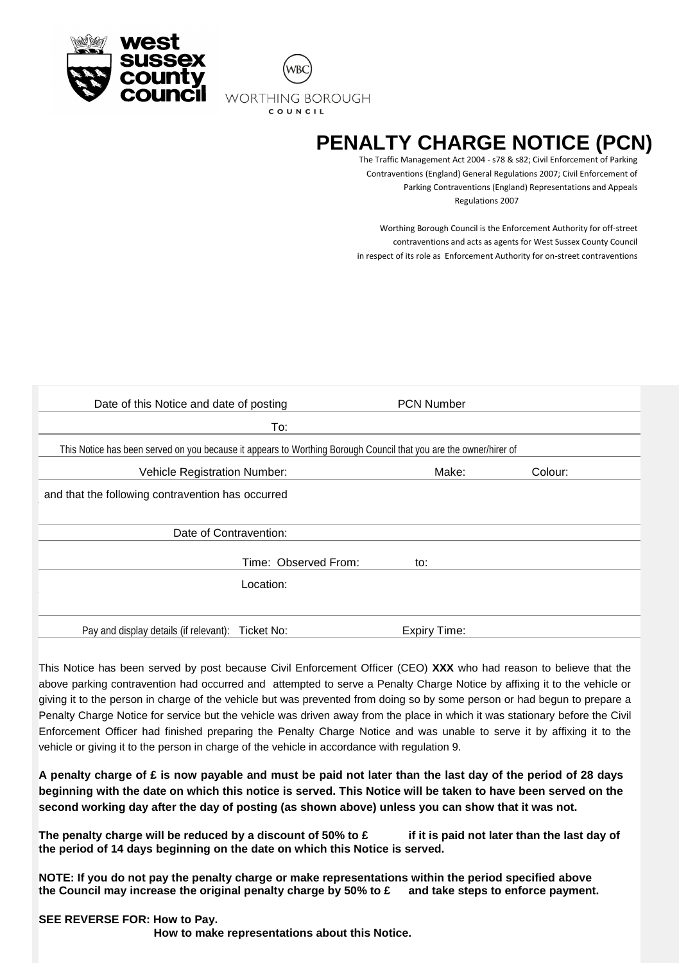



# **PENALTY CHARGE NOTICE (PCN)**

The Traffic Management Act 2004 - s78 & s82; Civil Enforcement of Parking Contraventions (England) General Regulations 2007; Civil Enforcement of Parking Contraventions (England) Representations and Appeals Regulations 2007

Worthing Borough Council is the Enforcement Authority for off-street contraventions and acts as agents for West Sussex County Council in respect of its role as Enforcement Authority for on-street contraventions

| Date of this Notice and date of posting                                                                           |                      | <b>PCN Number</b>   |         |
|-------------------------------------------------------------------------------------------------------------------|----------------------|---------------------|---------|
|                                                                                                                   | To:                  |                     |         |
| This Notice has been served on you because it appears to Worthing Borough Council that you are the owner/hirer of |                      |                     |         |
| Vehicle Registration Number:                                                                                      |                      | Make:               | Colour: |
| and that the following contravention has occurred                                                                 |                      |                     |         |
| Date of Contravention:                                                                                            |                      |                     |         |
|                                                                                                                   | Time: Observed From: | to:                 |         |
| Location:                                                                                                         |                      |                     |         |
|                                                                                                                   |                      |                     |         |
| Pay and display details (if relevant): Ticket No:                                                                 |                      | <b>Expiry Time:</b> |         |

This Notice has been served by post because Civil Enforcement Officer (CEO) **XXX** who had reason to believe that the above parking contravention had occurred and attempted to serve a Penalty Charge Notice by affixing it to the vehicle or giving it to the person in charge of the vehicle but was prevented from doing so by some person or had begun to prepare a Penalty Charge Notice for service but the vehicle was driven away from the place in which it was stationary before the Civil Enforcement Officer had finished preparing the Penalty Charge Notice and was unable to serve it by affixing it to the vehicle or giving it to the person in charge of the vehicle in accordance with regulation 9.

**A penalty charge of £ is now payable and must be paid not later than the last day of the period of 28 days beginning with the date on which this notice is served. This Notice will be taken to have been served on the second working day after the day of posting (as shown above) unless you can show that it was not.**

**The penalty charge will be reduced by a discount of 50% to £ if it is paid not later than the last day of the period of 14 days beginning on the date on which this Notice is served.**

**NOTE: If you do not pay the penalty charge or make representations within the period specified above the Council may increase the original penalty charge by 50% to £ and take steps to enforce payment.**

#### **SEE REVERSE FOR: How to Pay.**

 **How to make representations about this Notice.**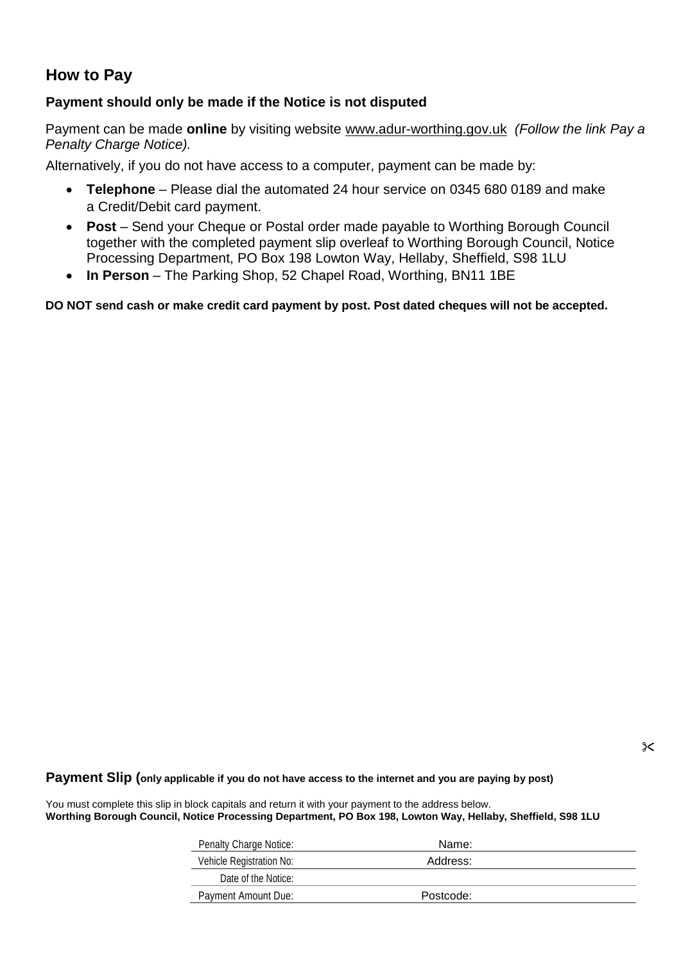## **How to Pay**

## **Payment should only be made if the Notice is not disputed**

Payment can be made **online** by visiting website [www.adur-worthing.gov.uk](http://www.adur-worthing.gov.uk/) *(Follow the link Pay a Penalty Charge Notice).*

Alternatively, if you do not have access to a computer, payment can be made by:

- **Telephone**  Please dial the automated 24 hour service on 0345 680 0189 and make a Credit/Debit card payment.
- **Post**  Send your Cheque or Postal order made payable to Worthing Borough Council together with the completed payment slip overleaf to Worthing Borough Council, Notice Processing Department, PO Box 198 Lowton Way, Hellaby, Sheffield, S98 1LU
- In Person The Parking Shop, 52 Chapel Road, Worthing, BN11 1BE

**DO NOT send cash or make credit card payment by post. Post dated cheques will not be accepted.**

#### **Payment Slip (only applicable if you do not have access to the internet and you are paying by post)**

You must complete this slip in block capitals and return it with your payment to the address below. **Worthing Borough Council, Notice Processing Department, PO Box 198, Lowton Way, Hellaby, Sheffield, S98 1LU**

| <b>Penalty Charge Notice:</b> | Name:     |  |
|-------------------------------|-----------|--|
| Vehicle Registration No:      | Address:  |  |
| Date of the Notice:           |           |  |
| Payment Amount Due:           | Postcode: |  |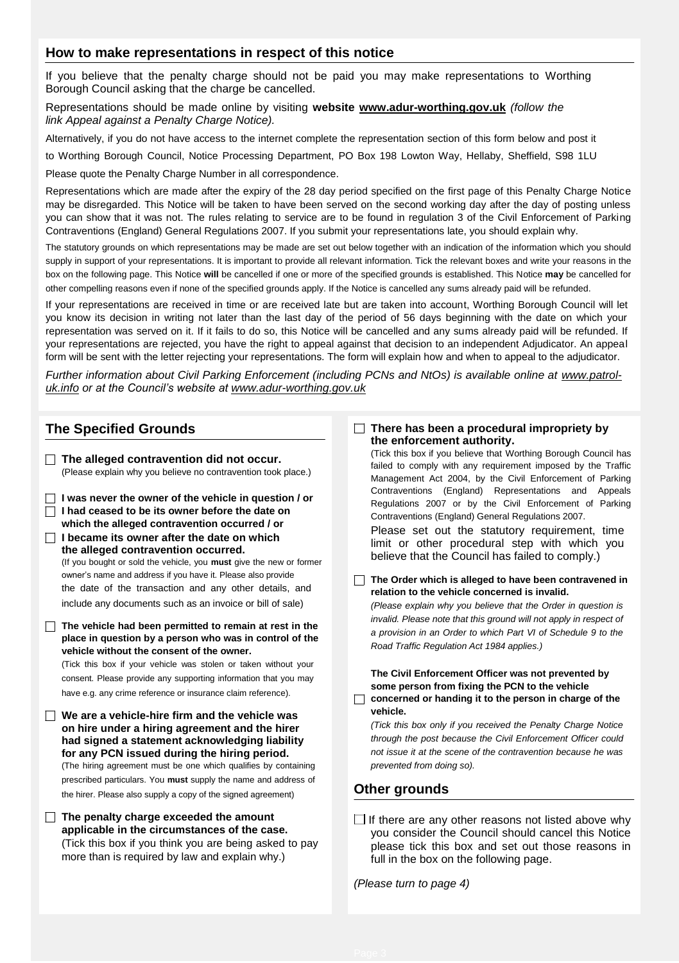### **How to make representations in respect of this notice**

If you believe that the penalty charge should not be paid you may make representations to Worthing Borough Council asking that the charge be cancelled.

Representations should be made online by visiting **website [www.adur-worthing.gov.uk](http://www.adur-worthing.gov.uk/)** *(follow the link Appeal against a Penalty Charge Notice).*

Alternatively, if you do not have access to the internet complete the representation section of this form below and post it

to Worthing Borough Council, Notice Processing Department, PO Box 198 Lowton Way, Hellaby, Sheffield, S98 1LU

Please quote the Penalty Charge Number in all correspondence.

Representations which are made after the expiry of the 28 day period specified on the first page of this Penalty Charge Notice may be disregarded. This Notice will be taken to have been served on the second working day after the day of posting unless you can show that it was not. The rules relating to service are to be found in regulation 3 of the Civil Enforcement of Parking Contraventions (England) General Regulations 2007. If you submit your representations late, you should explain why.

The statutory grounds on which representations may be made are set out below together with an indication of the information which you should supply in support of your representations. It is important to provide all relevant information. Tick the relevant boxes and write your reasons in the box on the following page. This Notice **will** be cancelled if one or more of the specified grounds is established. This Notice **may** be cancelled for other compelling reasons even if none of the specified grounds apply. If the Notice is cancelled any sums already paid will be refunded.

If your representations are received in time or are received late but are taken into account, Worthing Borough Council will let you know its decision in writing not later than the last day of the period of 56 days beginning with the date on which your representation was served on it. If it fails to do so, this Notice will be cancelled and any sums already paid will be refunded. If your representations are rejected, you have the right to appeal against that decision to an independent Adjudicator. An appeal form will be sent with the letter rejecting your representations. The form will explain how and when to appeal to the adjudicator.

*Further information about Civil Parking Enforcement (including PCNs and NtOs) is available online at [www.patrol](http://www.patrol-uk.info/)[uk.info](http://www.patrol-uk.info/) or at the Council's website at [www.adur-worthing.gov.uk](http://www.adur-worthing.gov.uk/)*

## **The Specified Grounds**

- **The alleged contravention did not occur.** (Please explain why you believe no contravention took place.)
- **I was never the owner of the vehicle in question / or I had ceased to be its owner before the date on which the alleged contravention occurred / or**
- **I became its owner after the date on which the alleged contravention occurred.** (If you bought or sold the vehicle, you **must** give the new or former owner's name and address if you have it. Please also provide the date of the transaction and any other details, and include any documents such as an invoice or bill of sale)
- **The vehicle had been permitted to remain at rest in the place in question by a person who was in control of the vehicle without the consent of the owner.**

(Tick this box if your vehicle was stolen or taken without your consent. Please provide any supporting information that you may have e.g. any crime reference or insurance claim reference).

- **We are a vehicle-hire firm and the vehicle was on hire under a hiring agreement and the hirer had signed a statement acknowledging liability for any PCN issued during the hiring period.** (The hiring agreement must be one which qualifies by containing prescribed particulars. You **must** supply the name and address of the hirer. Please also supply a copy of the signed agreement)
- **The penalty charge exceeded the amount applicable in the circumstances of the case.** (Tick this box if you think you are being asked to pay more than is required by law and explain why.)

#### **There has been a procedural impropriety by the enforcement authority.**

(Tick this box if you believe that Worthing Borough Council has failed to comply with any requirement imposed by the Traffic Management Act 2004, by the Civil Enforcement of Parking Contraventions (England) Representations and Appeals Regulations 2007 or by the Civil Enforcement of Parking Contraventions (England) General Regulations 2007.

Please set out the statutory requirement, time limit or other procedural step with which you believe that the Council has failed to comply.)

**The Order which is alleged to have been contravened in relation to the vehicle concerned is invalid.**

*(Please explain why you believe that the Order in question is invalid. Please note that this ground will not apply in respect of a provision in an Order to which Part VI of Schedule 9 to the Road Traffic Regulation Act 1984 applies.)*

**The Civil Enforcement Officer was not prevented by some person from fixing the PCN to the vehicle concerned or handing it to the person in charge of the** 

*(Tick this box only if you received the Penalty Charge Notice through the post because the Civil Enforcement Officer could not issue it at the scene of the contravention because he was prevented from doing so).*

### **Other grounds**

**vehicle.**

 $\Box$  If there are any other reasons not listed above why you consider the Council should cancel this Notice please tick this box and set out those reasons in full in the box on the following page.

*(Please turn to page 4)*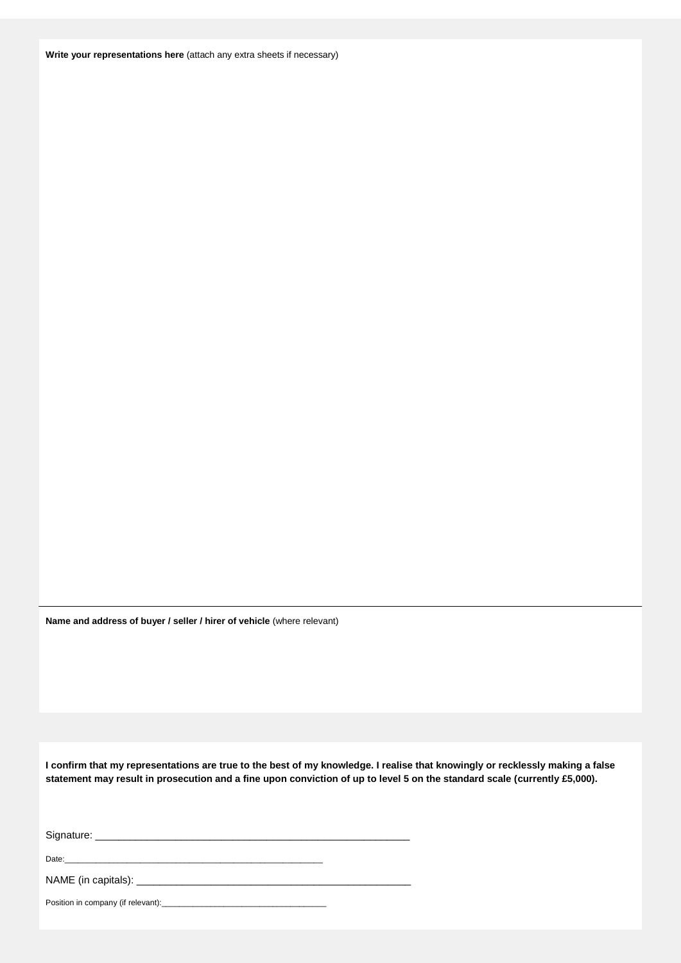**Write your representations here** (attach any extra sheets if necessary)

**Name and address of buyer / seller / hirer of vehicle** (where relevant)

**I confirm that my representations are true to the best of my knowledge. I realise that knowingly or recklessly making a false statement may result in prosecution and a fine upon conviction of up to level 5 on the standard scale (currently £5,000).**

| Position in company (if relevant): |
|------------------------------------|